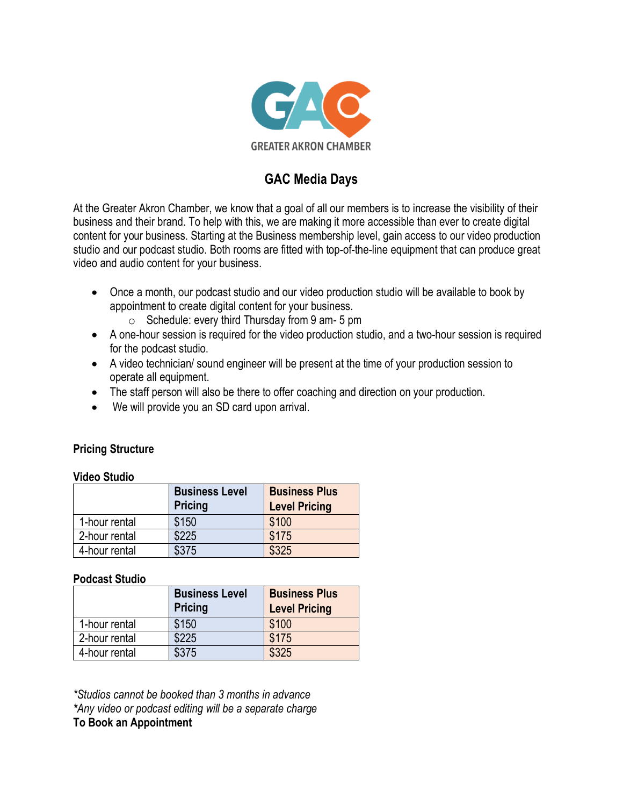

# **GAC Media Days**

At the Greater Akron Chamber, we know that a goal of all our members is to increase the visibility of their business and their brand. To help with this, we are making it more accessible than ever to create digital content for your business. Starting at the Business membership level, gain access to our video production studio and our podcast studio. Both rooms are fitted with top-of-the-line equipment that can produce great video and audio content for your business.

- Once a month, our podcast studio and our video production studio will be available to book by appointment to create digital content for your business.
	- $\circ$  Schedule: every third Thursday from 9 am- 5 pm
- A one-hour session is required for the video production studio, and a two-hour session is required for the podcast studio.
- A video technician/ sound engineer will be present at the time of your production session to operate all equipment.
- The staff person will also be there to offer coaching and direction on your production.
- We will provide you an SD card upon arrival.

## **Pricing Structure**

#### **Video Studio**

|               | <b>Business Level</b><br><b>Pricing</b> | <b>Business Plus</b><br><b>Level Pricing</b> |
|---------------|-----------------------------------------|----------------------------------------------|
| 1-hour rental | \$150                                   | \$100                                        |
| 2-hour rental | \$225                                   | \$175                                        |
| 4-hour rental | \$375                                   | \$325                                        |

#### **Podcast Studio**

|               | <b>Business Level</b><br><b>Pricing</b> | <b>Business Plus</b><br><b>Level Pricing</b> |
|---------------|-----------------------------------------|----------------------------------------------|
| 1-hour rental | \$150                                   | \$100                                        |
| 2-hour rental | \$225                                   | \$175                                        |
| 4-hour rental | \$375                                   | \$325                                        |

*\*Studios cannot be booked than 3 months in advance \*Any video or podcast editing will be a separate charge* **To Book an Appointment**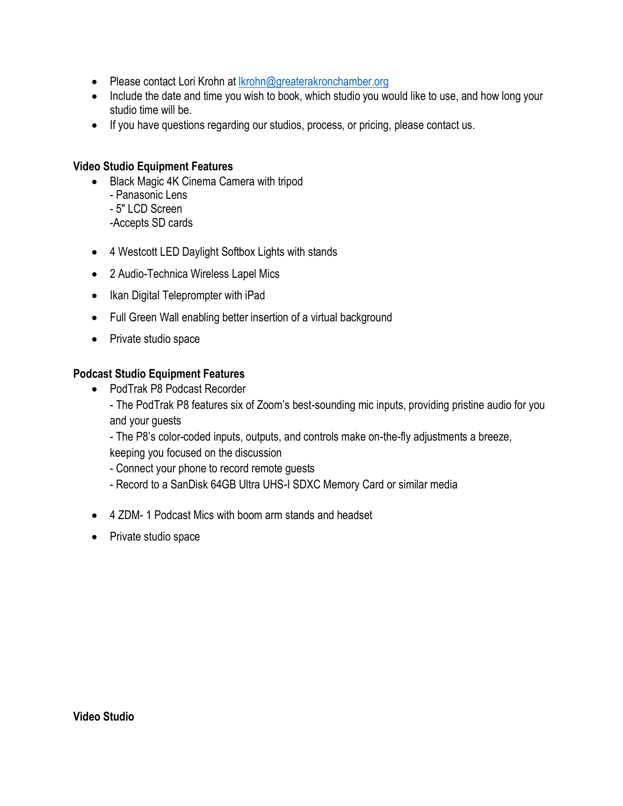- Please contact Lori Krohn at Ikrohn@greaterakronchamber.org
- Include the date and time you wish to book, which studio you would like to use, and how long your studio time will be.
- If you have questions regarding our studios, process, or pricing, please contact us.

### **Video Studio Equipment Features**

- Black Magic 4K Cinema Camera with tripod - Panasonic Lens - 5" LCD Screen -Accepts SD cards
- 4 Westcott LED Daylight Softbox Lights with stands
- 2 Audio-Technica Wireless Lapel Mics
- Ikan Digital Teleprompter with iPad
- Full Green Wall enabling better insertion of a virtual background
- Private studio space

## **Podcast Studio Equipment Features**

- PodTrak P8 Podcast Recorder
	- The PodTrak P8 features six of Zoom's best-sounding mic inputs, providing pristine audio for you and your guests

- The P8's color-coded inputs, outputs, and controls make on-the-fly adjustments a breeze, keeping you focused on the discussion

- Connect your phone to record remote guests

- Record to a SanDisk 64GB Ultra UHS-I SDXC Memory Card or similar media
- 4 ZDM- 1 Podcast Mics with boom arm stands and headset
- Private studio space